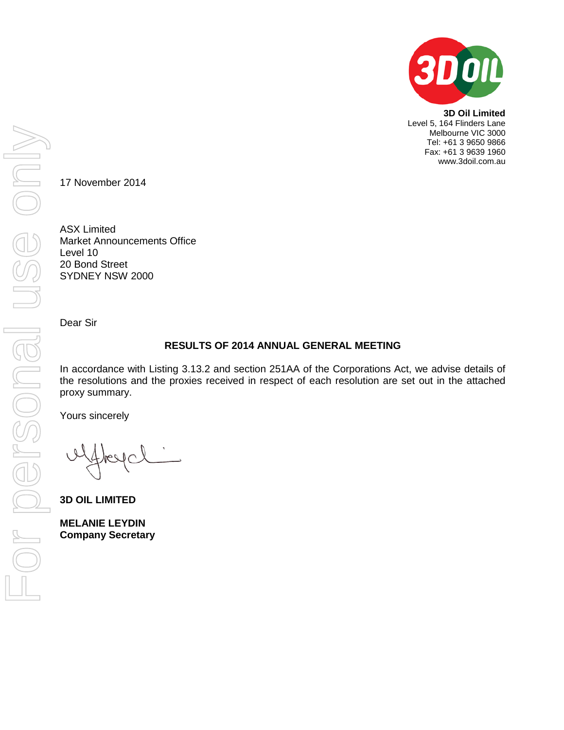

**3D Oil Limited** Level 5, 164 Flinders Lane Melbourne VIC 3000 Tel: +61 3 9650 9866 Fax: +61 3 9639 1960 www.3doil.com.au

17 November 2014

ASX Limited Market Announcements Office Level 10 20 Bond Street SYDNEY NSW 2000

Dear Sir

# **RESULTS OF 2014 ANNUAL GENERAL MEETING**

In accordance with Listing 3.13.2 and section 251AA of the Corporations Act, we advise details of the resolutions and the proxies received in respect of each resolution are set out in the attached proxy summary.

Yours sincerely

**3D OIL LIMITED**

**MELANIE LEYDIN Company Secretary**